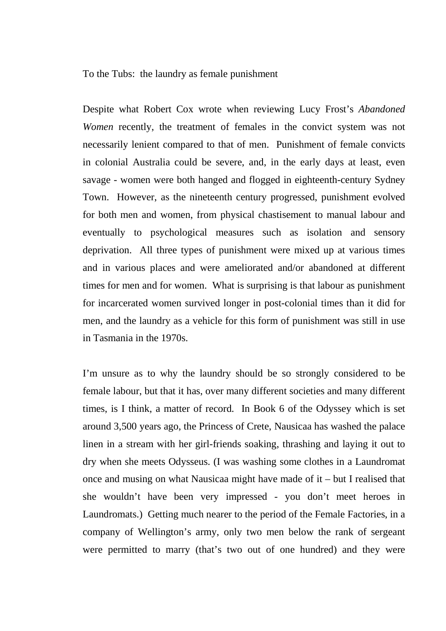To the Tubs: the laundry as female punishment

Despite what Robert Cox wrote when reviewing Lucy Frost's *Abandoned Women* recently, the treatment of females in the convict system was not necessarily lenient compared to that of men. Punishment of female convicts in colonial Australia could be severe, and, in the early days at least, even savage - women were both hanged and flogged in eighteenth-century Sydney Town. However, as the nineteenth century progressed, punishment evolved for both men and women, from physical chastisement to manual labour and eventually to psychological measures such as isolation and sensory deprivation. All three types of punishment were mixed up at various times and in various places and were ameliorated and/or abandoned at different times for men and for women. What is surprising is that labour as punishment for incarcerated women survived longer in post-colonial times than it did for men, and the laundry as a vehicle for this form of punishment was still in use in Tasmania in the 1970s.

I'm unsure as to why the laundry should be so strongly considered to be female labour, but that it has, over many different societies and many different times, is I think, a matter of record. In Book 6 of the Odyssey which is set around 3,500 years ago, the Princess of Crete, Nausicaa has washed the palace linen in a stream with her girl-friends soaking, thrashing and laying it out to dry when she meets Odysseus. (I was washing some clothes in a Laundromat once and musing on what Nausicaa might have made of it – but I realised that she wouldn't have been very impressed - you don't meet heroes in Laundromats.) Getting much nearer to the period of the Female Factories, in a company of Wellington's army, only two men below the rank of sergeant were permitted to marry (that's two out of one hundred) and they were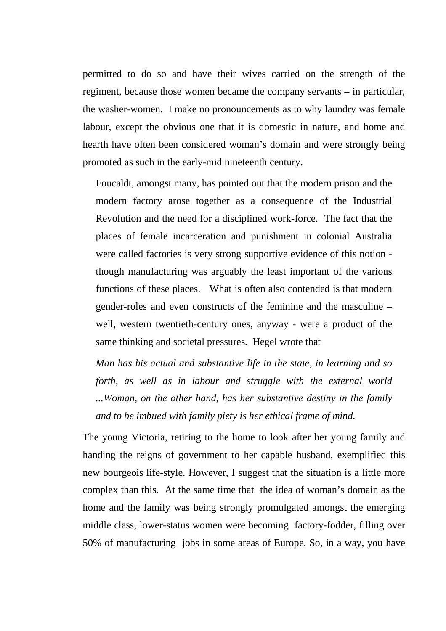permitted to do so and have their wives carried on the strength of the regiment, because those women became the company servants – in particular, the washer-women. I make no pronouncements as to why laundry was female labour, except the obvious one that it is domestic in nature, and home and hearth have often been considered woman's domain and were strongly being promoted as such in the early-mid nineteenth century.

Foucaldt, amongst many, has pointed out that the modern prison and the modern factory arose together as a consequence of the Industrial Revolution and the need for a disciplined work-force. The fact that the places of female incarceration and punishment in colonial Australia were called factories is very strong supportive evidence of this notion though manufacturing was arguably the least important of the various functions of these places. What is often also contended is that modern gender-roles and even constructs of the feminine and the masculine – well, western twentieth-century ones, anyway - were a product of the same thinking and societal pressures. Hegel wrote that

*Man has his actual and substantive life in the state, in learning and so forth, as well as in labour and struggle with the external world ...Woman, on the other hand, has her substantive destiny in the family and to be imbued with family piety is her ethical frame of mind.* 

The young Victoria, retiring to the home to look after her young family and handing the reigns of government to her capable husband, exemplified this new bourgeois life-style. However, I suggest that the situation is a little more complex than this. At the same time that the idea of woman's domain as the home and the family was being strongly promulgated amongst the emerging middle class, lower-status women were becoming factory-fodder, filling over 50% of manufacturing jobs in some areas of Europe. So, in a way, you have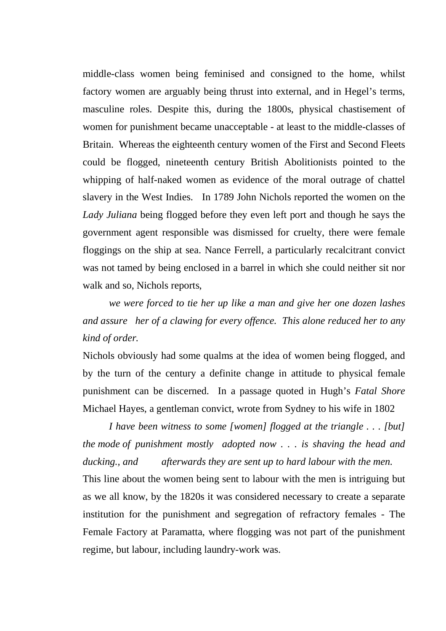middle-class women being feminised and consigned to the home, whilst factory women are arguably being thrust into external, and in Hegel's terms, masculine roles. Despite this, during the 1800s, physical chastisement of women for punishment became unacceptable - at least to the middle-classes of Britain. Whereas the eighteenth century women of the First and Second Fleets could be flogged, nineteenth century British Abolitionists pointed to the whipping of half-naked women as evidence of the moral outrage of chattel slavery in the West Indies. In 1789 John Nichols reported the women on the *Lady Juliana* being flogged before they even left port and though he says the government agent responsible was dismissed for cruelty, there were female floggings on the ship at sea. Nance Ferrell, a particularly recalcitrant convict was not tamed by being enclosed in a barrel in which she could neither sit nor walk and so, Nichols reports,

*we were forced to tie her up like a man and give her one dozen lashes and assure her of a clawing for every offence. This alone reduced her to any kind of order.* 

Nichols obviously had some qualms at the idea of women being flogged, and by the turn of the century a definite change in attitude to physical female punishment can be discerned. In a passage quoted in Hugh's *Fatal Shore* Michael Hayes, a gentleman convict, wrote from Sydney to his wife in 1802

*I have been witness to some [women] flogged at the triangle . . . [but] the mode of punishment mostly adopted now . . . is shaving the head and ducking., and afterwards they are sent up to hard labour with the men.*  This line about the women being sent to labour with the men is intriguing but as we all know, by the 1820s it was considered necessary to create a separate institution for the punishment and segregation of refractory females - The Female Factory at Paramatta, where flogging was not part of the punishment regime, but labour, including laundry-work was.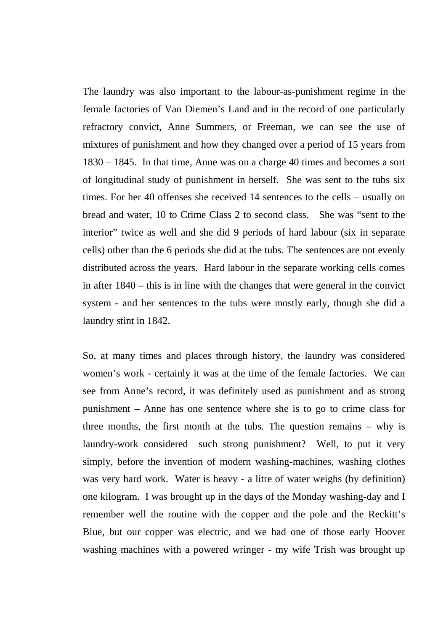The laundry was also important to the labour-as-punishment regime in the female factories of Van Diemen's Land and in the record of one particularly refractory convict, Anne Summers, or Freeman, we can see the use of mixtures of punishment and how they changed over a period of 15 years from 1830 – 1845. In that time, Anne was on a charge 40 times and becomes a sort of longitudinal study of punishment in herself. She was sent to the tubs six times. For her 40 offenses she received 14 sentences to the cells – usually on bread and water, 10 to Crime Class 2 to second class. She was "sent to the interior" twice as well and she did 9 periods of hard labour (six in separate cells) other than the 6 periods she did at the tubs. The sentences are not evenly distributed across the years. Hard labour in the separate working cells comes in after 1840 – this is in line with the changes that were general in the convict system - and her sentences to the tubs were mostly early, though she did a laundry stint in 1842.

So, at many times and places through history, the laundry was considered women's work - certainly it was at the time of the female factories. We can see from Anne's record, it was definitely used as punishment and as strong punishment – Anne has one sentence where she is to go to crime class for three months, the first month at the tubs. The question remains – why is laundry-work considered such strong punishment? Well, to put it very simply, before the invention of modern washing-machines, washing clothes was very hard work. Water is heavy - a litre of water weighs (by definition) one kilogram. I was brought up in the days of the Monday washing-day and I remember well the routine with the copper and the pole and the Reckitt's Blue, but our copper was electric, and we had one of those early Hoover washing machines with a powered wringer - my wife Trish was brought up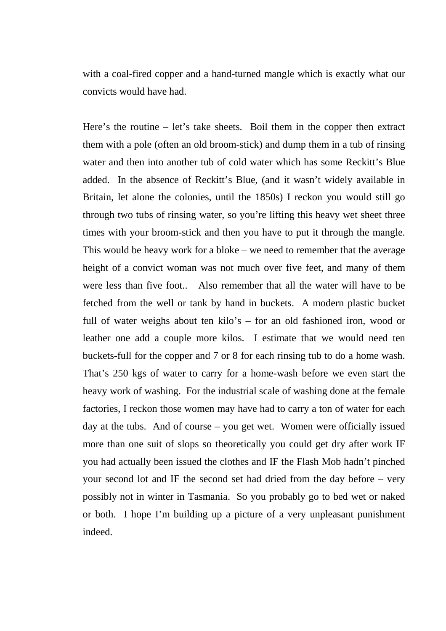with a coal-fired copper and a hand-turned mangle which is exactly what our convicts would have had.

Here's the routine – let's take sheets. Boil them in the copper then extract them with a pole (often an old broom-stick) and dump them in a tub of rinsing water and then into another tub of cold water which has some Reckitt's Blue added. In the absence of Reckitt's Blue, (and it wasn't widely available in Britain, let alone the colonies, until the 1850s) I reckon you would still go through two tubs of rinsing water, so you're lifting this heavy wet sheet three times with your broom-stick and then you have to put it through the mangle. This would be heavy work for a bloke – we need to remember that the average height of a convict woman was not much over five feet, and many of them were less than five foot.. Also remember that all the water will have to be fetched from the well or tank by hand in buckets. A modern plastic bucket full of water weighs about ten kilo's – for an old fashioned iron, wood or leather one add a couple more kilos. I estimate that we would need ten buckets-full for the copper and 7 or 8 for each rinsing tub to do a home wash. That's 250 kgs of water to carry for a home-wash before we even start the heavy work of washing. For the industrial scale of washing done at the female factories, I reckon those women may have had to carry a ton of water for each day at the tubs. And of course – you get wet. Women were officially issued more than one suit of slops so theoretically you could get dry after work IF you had actually been issued the clothes and IF the Flash Mob hadn't pinched your second lot and IF the second set had dried from the day before – very possibly not in winter in Tasmania. So you probably go to bed wet or naked or both. I hope I'm building up a picture of a very unpleasant punishment indeed.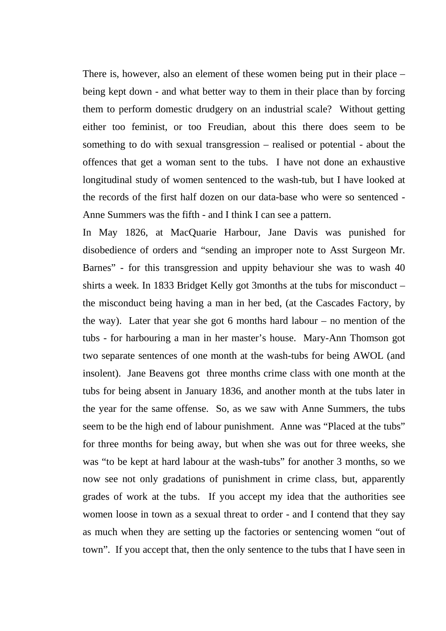There is, however, also an element of these women being put in their place – being kept down - and what better way to them in their place than by forcing them to perform domestic drudgery on an industrial scale? Without getting either too feminist, or too Freudian, about this there does seem to be something to do with sexual transgression – realised or potential - about the offences that get a woman sent to the tubs. I have not done an exhaustive longitudinal study of women sentenced to the wash-tub, but I have looked at the records of the first half dozen on our data-base who were so sentenced - Anne Summers was the fifth - and I think I can see a pattern.

In May 1826, at MacQuarie Harbour, Jane Davis was punished for disobedience of orders and "sending an improper note to Asst Surgeon Mr. Barnes" - for this transgression and uppity behaviour she was to wash 40 shirts a week. In 1833 Bridget Kelly got 3months at the tubs for misconduct – the misconduct being having a man in her bed, (at the Cascades Factory, by the way). Later that year she got 6 months hard labour – no mention of the tubs - for harbouring a man in her master's house. Mary-Ann Thomson got two separate sentences of one month at the wash-tubs for being AWOL (and insolent). Jane Beavens got three months crime class with one month at the tubs for being absent in January 1836, and another month at the tubs later in the year for the same offense. So, as we saw with Anne Summers, the tubs seem to be the high end of labour punishment. Anne was "Placed at the tubs" for three months for being away, but when she was out for three weeks, she was "to be kept at hard labour at the wash-tubs" for another 3 months, so we now see not only gradations of punishment in crime class, but, apparently grades of work at the tubs. If you accept my idea that the authorities see women loose in town as a sexual threat to order - and I contend that they say as much when they are setting up the factories or sentencing women "out of town". If you accept that, then the only sentence to the tubs that I have seen in